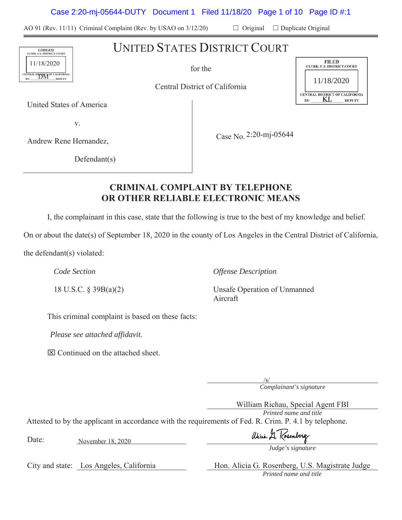Case 2:20-mj-05644-DUTY Document 1 Filed 11/18/20 Page 1 of 10 Page ID #:1

AO 91 (Rev. 11/11) Criminal Complaint (Rev. by USAO on  $3/12/20$ )  $\Box$  Original  $\Box$  Duplicate Original

UNITED STATES DISTRICT COURT

Central District of California

United States of America

Y

Andrew Rene Hernandez,

Case No. 2:20-mj-05644

 $Defendant(s)$ 

# **CRIMINAL COMPLAINT BY TELEPHONE 25 OR OTHER RELIABLE ELECTRONIC MEANS**

I, the complainant in this case, state that the following is true to the best of my knowledge and belief.

On or about the date(s) of September 18, 2020 in the county of Los Angeles in the Central District of California,

the defendant( $s$ ) violated:

*Code Section Offense Description* 

18 U.S.C. § 39B(a)(2) Unsafe Operation of Unmanned Aircraft

This criminal complaint is based on these facts:

*Please see attached affidavit.* 

 $\boxtimes$  Continued on the attached sheet.

*Complainant's signature*   $\sqrt{s/}$ 

William Richau, Special Agent FBI *Printed name and title*  Attested to by the applicant in accordance with the requirements of Fed. R. Crim. P. 4.1 by telephone.

Date: November 18, 2020

alicia A. Kosinberg

*Judge's signature*

City and state: Los Angeles, California Hon. Alicia G. Rosenberg, U.S. Magistrate Judge *Printed name and title* 





for the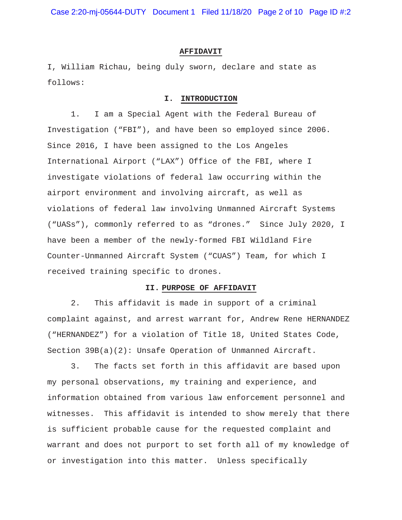Case 2:20-mj-05644-DUTY Document 1 Filed 11/18/20 Page 2 of 10 Page ID #:2

#### **AFFIDAVIT**

I, William Richau, being duly sworn, declare and state as follows:

### **I. INTRODUCTION**

1. I am a Special Agent with the Federal Bureau of Investigation ("FBI"), and have been so employed since 2006. Since 2016, I have been assigned to the Los Angeles International Airport ("LAX") Office of the FBI, where I investigate violations of federal law occurring within the airport environment and involving aircraft, as well as violations of federal law involving Unmanned Aircraft Systems ("UASs"), commonly referred to as "drones." Since July 2020, I have been a member of the newly-formed FBI Wildland Fire Counter-Unmanned Aircraft System ("CUAS") Team, for which I received training specific to drones.

#### **II. PURPOSE OF AFFIDAVIT**

2. This affidavit is made in support of a criminal complaint against, and arrest warrant for, Andrew Rene HERNANDEZ ("HERNANDEZ") for a violation of Title 18, United States Code, Section 39B(a)(2): Unsafe Operation of Unmanned Aircraft.

3. The facts set forth in this affidavit are based upon my personal observations, my training and experience, and information obtained from various law enforcement personnel and witnesses. This affidavit is intended to show merely that there is sufficient probable cause for the requested complaint and warrant and does not purport to set forth all of my knowledge of or investigation into this matter. Unless specifically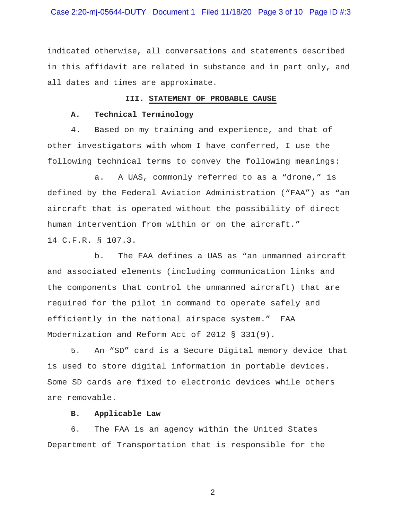Case 2:20-mj-05644-DUTY Document 1 Filed 11/18/20 Page 3 of 10 Page ID #:3

indicated otherwise, all conversations and statements described in this affidavit are related in substance and in part only, and all dates and times are approximate.

#### **III. STATEMENT OF PROBABLE CAUSE**

# **A. Technical Terminology**

4. Based on my training and experience, and that of other investigators with whom I have conferred, I use the following technical terms to convey the following meanings:

a. A UAS, commonly referred to as a "drone," is defined by the Federal Aviation Administration ("FAA") as "an aircraft that is operated without the possibility of direct human intervention from within or on the aircraft." 14 C.F.R. § 107.3.

b. The FAA defines a UAS as "an unmanned aircraft and associated elements (including communication links and the components that control the unmanned aircraft) that are required for the pilot in command to operate safely and efficiently in the national airspace system." FAA Modernization and Reform Act of 2012 § 331(9).

5. An "SD" card is a Secure Digital memory device that is used to store digital information in portable devices. Some SD cards are fixed to electronic devices while others are removable.

## **B. Applicable Law**

6. The FAA is an agency within the United States Department of Transportation that is responsible for the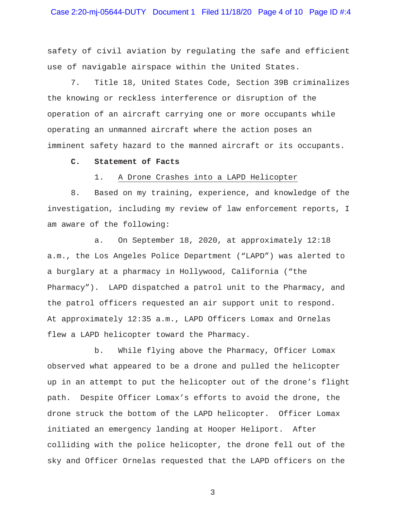safety of civil aviation by regulating the safe and efficient use of navigable airspace within the United States.

7. Title 18, United States Code, Section 39B criminalizes the knowing or reckless interference or disruption of the operation of an aircraft carrying one or more occupants while operating an unmanned aircraft where the action poses an imminent safety hazard to the manned aircraft or its occupants.

#### **C. Statement of Facts**

1. A Drone Crashes into a LAPD Helicopter

8. Based on my training, experience, and knowledge of the investigation, including my review of law enforcement reports, I am aware of the following:

a. On September 18, 2020, at approximately 12:18 a.m., the Los Angeles Police Department ("LAPD") was alerted to a burglary at a pharmacy in Hollywood, California ("the Pharmacy"). LAPD dispatched a patrol unit to the Pharmacy, and the patrol officers requested an air support unit to respond. At approximately 12:35 a.m., LAPD Officers Lomax and Ornelas flew a LAPD helicopter toward the Pharmacy.

b. While flying above the Pharmacy, Officer Lomax observed what appeared to be a drone and pulled the helicopter up in an attempt to put the helicopter out of the drone's flight path. Despite Officer Lomax's efforts to avoid the drone, the drone struck the bottom of the LAPD helicopter. Officer Lomax initiated an emergency landing at Hooper Heliport. After colliding with the police helicopter, the drone fell out of the sky and Officer Ornelas requested that the LAPD officers on the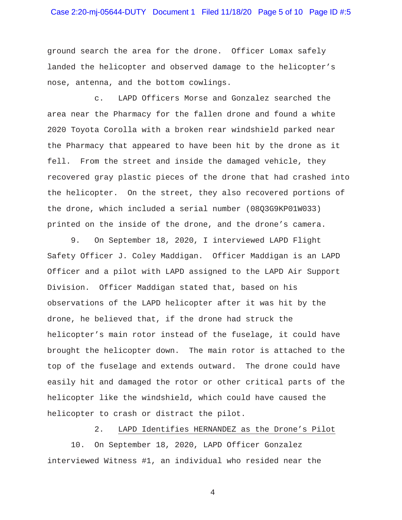# Case 2:20-mj-05644-DUTY Document 1 Filed 11/18/20 Page 5 of 10 Page ID #:5

ground search the area for the drone. Officer Lomax safely landed the helicopter and observed damage to the helicopter's nose, antenna, and the bottom cowlings.

c. LAPD Officers Morse and Gonzalez searched the area near the Pharmacy for the fallen drone and found a white 2020 Toyota Corolla with a broken rear windshield parked near the Pharmacy that appeared to have been hit by the drone as it fell. From the street and inside the damaged vehicle, they recovered gray plastic pieces of the drone that had crashed into the helicopter. On the street, they also recovered portions of the drone, which included a serial number (08Q3G9KP01W033) printed on the inside of the drone, and the drone's camera.

9. On September 18, 2020, I interviewed LAPD Flight Safety Officer J. Coley Maddigan. Officer Maddigan is an LAPD Officer and a pilot with LAPD assigned to the LAPD Air Support Division. Officer Maddigan stated that, based on his observations of the LAPD helicopter after it was hit by the drone, he believed that, if the drone had struck the helicopter's main rotor instead of the fuselage, it could have brought the helicopter down. The main rotor is attached to the top of the fuselage and extends outward. The drone could have easily hit and damaged the rotor or other critical parts of the helicopter like the windshield, which could have caused the helicopter to crash or distract the pilot.

2. LAPD Identifies HERNANDEZ as the Drone's Pilot

10. On September 18, 2020, LAPD Officer Gonzalez interviewed Witness #1, an individual who resided near the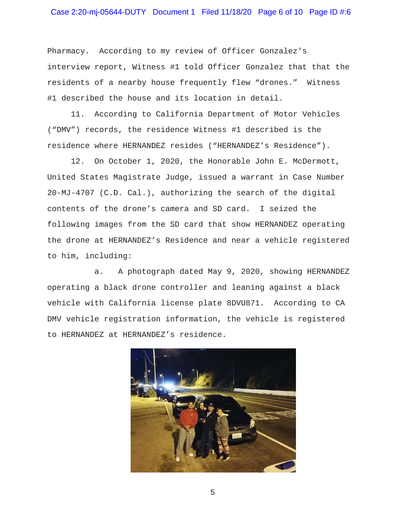# Case 2:20-mj-05644-DUTY Document 1 Filed 11/18/20 Page 6 of 10 Page ID #:6

Pharmacy. According to my review of Officer Gonzalez's interview report, Witness #1 told Officer Gonzalez that that the residents of a nearby house frequently flew "drones." Witness #1 described the house and its location in detail.

11. According to California Department of Motor Vehicles ("DMV") records, the residence Witness #1 described is the residence where HERNANDEZ resides ("HERNANDEZ's Residence").

12. On October 1, 2020, the Honorable John E. McDermott, United States Magistrate Judge, issued a warrant in Case Number 20-MJ-4707 (C.D. Cal.), authorizing the search of the digital contents of the drone's camera and SD card. I seized the following images from the SD card that show HERNANDEZ operating the drone at HERNANDEZ's Residence and near a vehicle registered to him, including:

a. A photograph dated May 9, 2020, showing HERNANDEZ operating a black drone controller and leaning against a black vehicle with California license plate 8DVU871. According to CA DMV vehicle registration information, the vehicle is registered to HERNANDEZ at HERNANDEZ's residence.

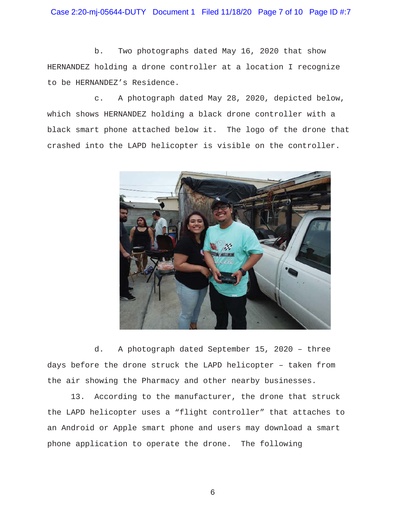Case 2:20-mj-05644-DUTY Document 1 Filed 11/18/20 Page 7 of 10 Page ID #:7

b. Two photographs dated May 16, 2020 that show HERNANDEZ holding a drone controller at a location I recognize to be HERNANDEZ's Residence.

c. A photograph dated May 28, 2020, depicted below, which shows HERNANDEZ holding a black drone controller with a black smart phone attached below it. The logo of the drone that crashed into the LAPD helicopter is visible on the controller.



d. A photograph dated September 15, 2020 – three days before the drone struck the LAPD helicopter – taken from the air showing the Pharmacy and other nearby businesses.

13. According to the manufacturer, the drone that struck the LAPD helicopter uses a "flight controller" that attaches to an Android or Apple smart phone and users may download a smart phone application to operate the drone. The following

 $\sim$  6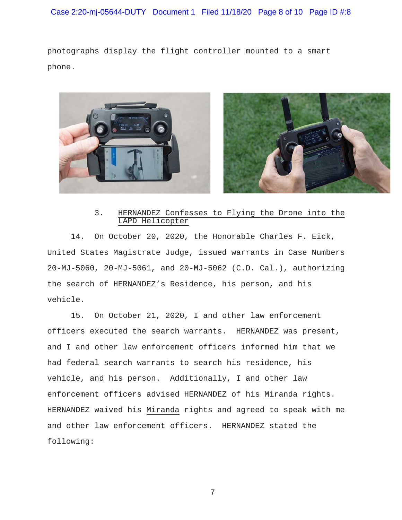photographs display the flight controller mounted to a smart phone.



# 3. HERNANDEZ Confesses to Flying the Drone into the LAPD Helicopter

14. On October 20, 2020, the Honorable Charles F. Eick, United States Magistrate Judge, issued warrants in Case Numbers 20-MJ-5060, 20-MJ-5061, and 20-MJ-5062 (C.D. Cal.), authorizing the search of HERNANDEZ's Residence, his person, and his vehicle.

15. On October 21, 2020, I and other law enforcement officers executed the search warrants. HERNANDEZ was present, and I and other law enforcement officers informed him that we had federal search warrants to search his residence, his vehicle, and his person. Additionally, I and other law enforcement officers advised HERNANDEZ of his Miranda rights. HERNANDEZ waived his Miranda rights and agreed to speak with me and other law enforcement officers. HERNANDEZ stated the following: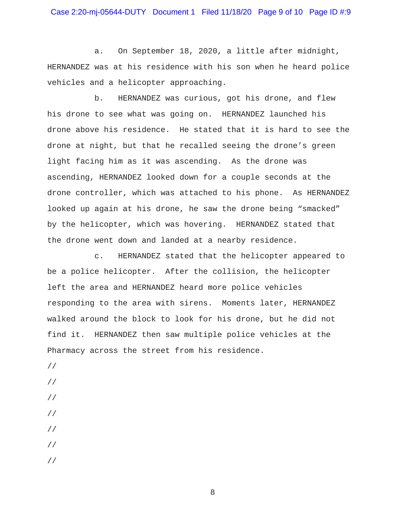# Case 2:20-mj-05644-DUTY Document 1 Filed 11/18/20 Page 9 of 10 Page ID #:9

a. On September 18, 2020, a little after midnight, HERNANDEZ was at his residence with his son when he heard police vehicles and a helicopter approaching.

b. HERNANDEZ was curious, got his drone, and flew his drone to see what was going on. HERNANDEZ launched his drone above his residence. He stated that it is hard to see the drone at night, but that he recalled seeing the drone's green light facing him as it was ascending. As the drone was ascending, HERNANDEZ looked down for a couple seconds at the drone controller, which was attached to his phone. As HERNANDEZ looked up again at his drone, he saw the drone being "smacked" by the helicopter, which was hovering. HERNANDEZ stated that the drone went down and landed at a nearby residence.

c. HERNANDEZ stated that the helicopter appeared to be a police helicopter. After the collision, the helicopter left the area and HERNANDEZ heard more police vehicles responding to the area with sirens. Moments later, HERNANDEZ walked around the block to look for his drone, but he did not find it. HERNANDEZ then saw multiple police vehicles at the Pharmacy across the street from his residence.

- //
- //
- //
- //
- //
- 
- //
- //